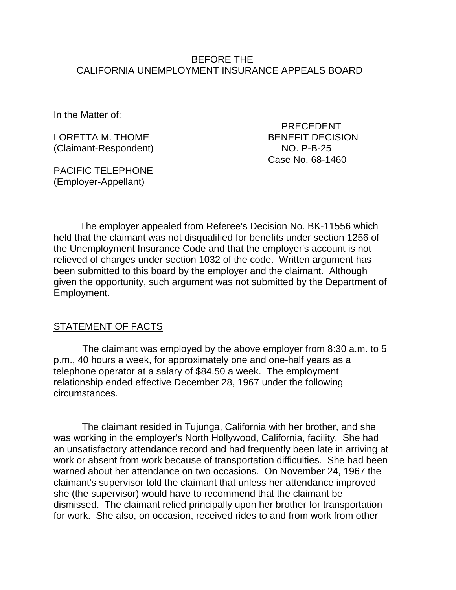#### BEFORE THE CALIFORNIA UNEMPLOYMENT INSURANCE APPEALS BOARD

In the Matter of:

LORETTA M. THOME **EXAMPLE AND STATE BENEFIT DECISION** (Claimant-Respondent) NO. P-B-25

PACIFIC TELEPHONE (Employer-Appellant)

 PRECEDENT Case No. 68-1460

The employer appealed from Referee's Decision No. BK-11556 which held that the claimant was not disqualified for benefits under section 1256 of the Unemployment Insurance Code and that the employer's account is not relieved of charges under section 1032 of the code. Written argument has been submitted to this board by the employer and the claimant. Although given the opportunity, such argument was not submitted by the Department of Employment.

#### **STATEMENT OF FACTS**

The claimant was employed by the above employer from 8:30 a.m. to 5 p.m., 40 hours a week, for approximately one and one-half years as a telephone operator at a salary of \$84.50 a week. The employment relationship ended effective December 28, 1967 under the following circumstances.

The claimant resided in Tujunga, California with her brother, and she was working in the employer's North Hollywood, California, facility. She had an unsatisfactory attendance record and had frequently been late in arriving at work or absent from work because of transportation difficulties. She had been warned about her attendance on two occasions. On November 24, 1967 the claimant's supervisor told the claimant that unless her attendance improved she (the supervisor) would have to recommend that the claimant be dismissed. The claimant relied principally upon her brother for transportation for work. She also, on occasion, received rides to and from work from other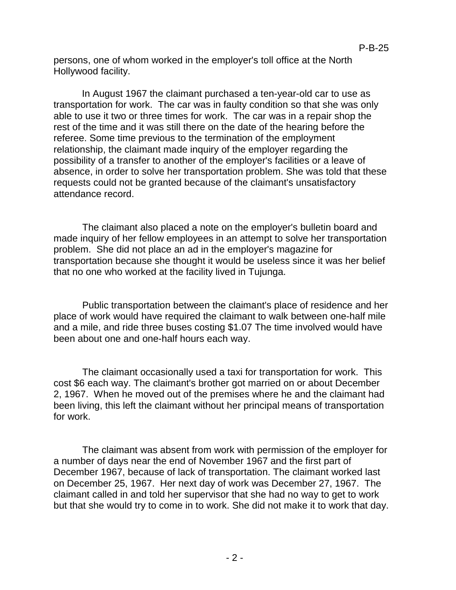persons, one of whom worked in the employer's toll office at the North Hollywood facility.

In August 1967 the claimant purchased a ten-year-old car to use as transportation for work. The car was in faulty condition so that she was only able to use it two or three times for work. The car was in a repair shop the rest of the time and it was still there on the date of the hearing before the referee. Some time previous to the termination of the employment relationship, the claimant made inquiry of the employer regarding the possibility of a transfer to another of the employer's facilities or a leave of absence, in order to solve her transportation problem. She was told that these requests could not be granted because of the claimant's unsatisfactory attendance record.

The claimant also placed a note on the employer's bulletin board and made inquiry of her fellow employees in an attempt to solve her transportation problem. She did not place an ad in the employer's magazine for transportation because she thought it would be useless since it was her belief that no one who worked at the facility lived in Tujunga.

Public transportation between the claimant's place of residence and her place of work would have required the claimant to walk between one-half mile and a mile, and ride three buses costing \$1.07 The time involved would have been about one and one-half hours each way.

The claimant occasionally used a taxi for transportation for work. This cost \$6 each way. The claimant's brother got married on or about December 2, 1967. When he moved out of the premises where he and the claimant had been living, this left the claimant without her principal means of transportation for work.

The claimant was absent from work with permission of the employer for a number of days near the end of November 1967 and the first part of December 1967, because of lack of transportation. The claimant worked last on December 25, 1967. Her next day of work was December 27, 1967. The claimant called in and told her supervisor that she had no way to get to work but that she would try to come in to work. She did not make it to work that day.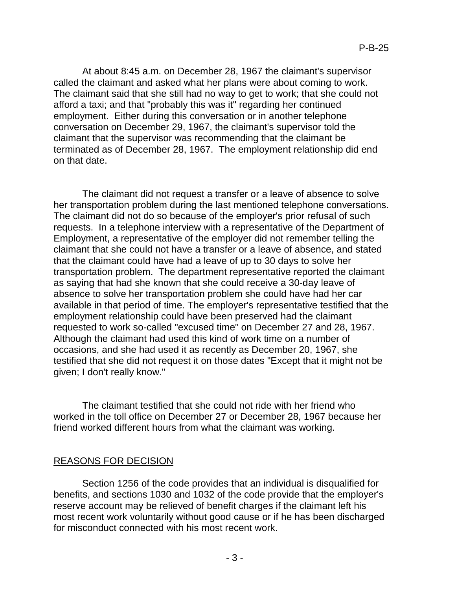At about 8:45 a.m. on December 28, 1967 the claimant's supervisor called the claimant and asked what her plans were about coming to work. The claimant said that she still had no way to get to work; that she could not afford a taxi; and that "probably this was it" regarding her continued employment. Either during this conversation or in another telephone conversation on December 29, 1967, the claimant's supervisor told the claimant that the supervisor was recommending that the claimant be terminated as of December 28, 1967. The employment relationship did end on that date.

The claimant did not request a transfer or a leave of absence to solve her transportation problem during the last mentioned telephone conversations. The claimant did not do so because of the employer's prior refusal of such requests. In a telephone interview with a representative of the Department of Employment, a representative of the employer did not remember telling the claimant that she could not have a transfer or a leave of absence, and stated that the claimant could have had a leave of up to 30 days to solve her transportation problem. The department representative reported the claimant as saying that had she known that she could receive a 30-day leave of absence to solve her transportation problem she could have had her car available in that period of time. The employer's representative testified that the employment relationship could have been preserved had the claimant requested to work so-called "excused time" on December 27 and 28, 1967. Although the claimant had used this kind of work time on a number of occasions, and she had used it as recently as December 20, 1967, she testified that she did not request it on those dates "Except that it might not be given; I don't really know."

The claimant testified that she could not ride with her friend who worked in the toll office on December 27 or December 28, 1967 because her friend worked different hours from what the claimant was working.

# REASONS FOR DECISION

Section 1256 of the code provides that an individual is disqualified for benefits, and sections 1030 and 1032 of the code provide that the employer's reserve account may be relieved of benefit charges if the claimant left his most recent work voluntarily without good cause or if he has been discharged for misconduct connected with his most recent work.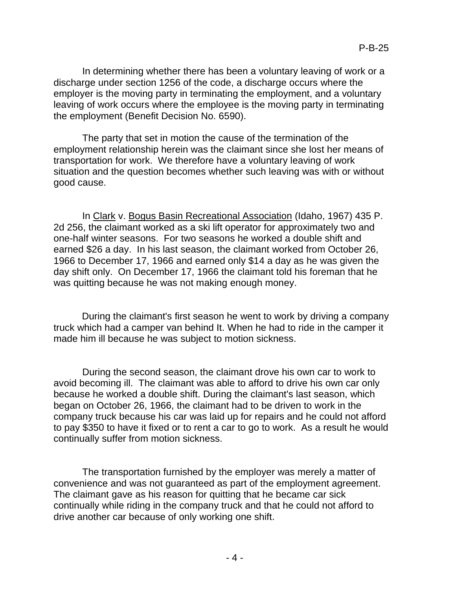In determining whether there has been a voluntary leaving of work or a discharge under section 1256 of the code, a discharge occurs where the employer is the moving party in terminating the employment, and a voluntary leaving of work occurs where the employee is the moving party in terminating the employment (Benefit Decision No. 6590).

The party that set in motion the cause of the termination of the employment relationship herein was the claimant since she lost her means of transportation for work. We therefore have a voluntary leaving of work situation and the question becomes whether such leaving was with or without good cause.

In Clark v. Bogus Basin Recreational Association (Idaho, 1967) 435 P. 2d 256, the claimant worked as a ski lift operator for approximately two and one-half winter seasons. For two seasons he worked a double shift and earned \$26 a day. In his last season, the claimant worked from October 26, 1966 to December 17, 1966 and earned only \$14 a day as he was given the day shift only. On December 17, 1966 the claimant told his foreman that he was quitting because he was not making enough money.

During the claimant's first season he went to work by driving a company truck which had a camper van behind It. When he had to ride in the camper it made him ill because he was subject to motion sickness.

During the second season, the claimant drove his own car to work to avoid becoming ill. The claimant was able to afford to drive his own car only because he worked a double shift. During the claimant's last season, which began on October 26, 1966, the claimant had to be driven to work in the company truck because his car was laid up for repairs and he could not afford to pay \$350 to have it fixed or to rent a car to go to work. As a result he would continually suffer from motion sickness.

The transportation furnished by the employer was merely a matter of convenience and was not guaranteed as part of the employment agreement. The claimant gave as his reason for quitting that he became car sick continually while riding in the company truck and that he could not afford to drive another car because of only working one shift.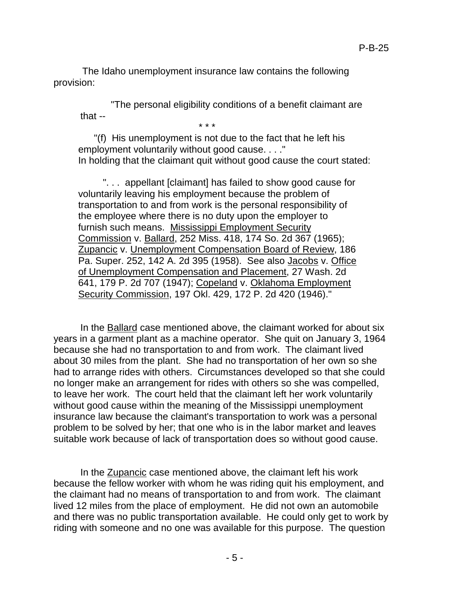The Idaho unemployment insurance law contains the following provision:

"The personal eligibility conditions of a benefit claimant are that --

\* \* \*

"(f) His unemployment is not due to the fact that he left his employment voluntarily without good cause. . . ." In holding that the claimant quit without good cause the court stated:

". . . appellant [claimant] has failed to show good cause for voluntarily leaving his employment because the problem of transportation to and from work is the personal responsibility of the employee where there is no duty upon the employer to furnish such means. Mississippi Employment Security Commission v. Ballard, 252 Miss. 418, 174 So. 2d 367 (1965); Zupancic v. Unemployment Compensation Board of Review, 186 Pa. Super. 252, 142 A. 2d 395 (1958). See also Jacobs v. Office of Unemployment Compensation and Placement, 27 Wash. 2d 641, 179 P. 2d 707 (1947); Copeland v. Oklahoma Employment Security Commission, 197 Okl. 429, 172 P. 2d 420 (1946)."

In the Ballard case mentioned above, the claimant worked for about six years in a garment plant as a machine operator. She quit on January 3, 1964 because she had no transportation to and from work. The claimant lived about 30 miles from the plant. She had no transportation of her own so she had to arrange rides with others. Circumstances developed so that she could no longer make an arrangement for rides with others so she was compelled, to leave her work. The court held that the claimant left her work voluntarily without good cause within the meaning of the Mississippi unemployment insurance law because the claimant's transportation to work was a personal problem to be solved by her; that one who is in the labor market and leaves suitable work because of lack of transportation does so without good cause.

In the Zupancic case mentioned above, the claimant left his work because the fellow worker with whom he was riding quit his employment, and the claimant had no means of transportation to and from work. The claimant lived 12 miles from the place of employment. He did not own an automobile and there was no public transportation available. He could only get to work by riding with someone and no one was available for this purpose. The question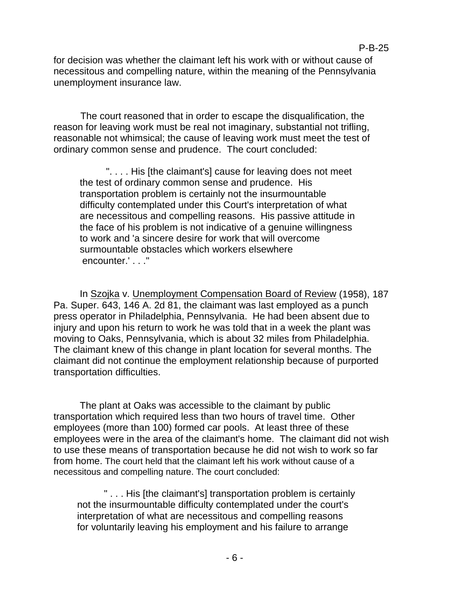for decision was whether the claimant left his work with or without cause of necessitous and compelling nature, within the meaning of the Pennsylvania unemployment insurance law.

The court reasoned that in order to escape the disqualification, the reason for leaving work must be real not imaginary, substantial not trifling, reasonable not whimsical; the cause of leaving work must meet the test of ordinary common sense and prudence. The court concluded:

". . . . His [the claimant's] cause for leaving does not meet the test of ordinary common sense and prudence. His transportation problem is certainly not the insurmountable difficulty contemplated under this Court's interpretation of what are necessitous and compelling reasons. His passive attitude in the face of his problem is not indicative of a genuine willingness to work and 'a sincere desire for work that will overcome surmountable obstacles which workers elsewhere encounter.' . . ."

In Szojka v. Unemployment Compensation Board of Review (1958), 187 Pa. Super. 643, 146 A. 2d 81, the claimant was last employed as a punch press operator in Philadelphia, Pennsylvania. He had been absent due to injury and upon his return to work he was told that in a week the plant was moving to Oaks, Pennsylvania, which is about 32 miles from Philadelphia. The claimant knew of this change in plant location for several months. The claimant did not continue the employment relationship because of purported transportation difficulties.

The plant at Oaks was accessible to the claimant by public transportation which required less than two hours of travel time. Other employees (more than 100) formed car pools. At least three of these employees were in the area of the claimant's home. The claimant did not wish to use these means of transportation because he did not wish to work so far from home. The court held that the claimant left his work without cause of a necessitous and compelling nature. The court concluded:

" . . . His [the claimant's] transportation problem is certainly not the insurmountable difficulty contemplated under the court's interpretation of what are necessitous and compelling reasons for voluntarily leaving his employment and his failure to arrange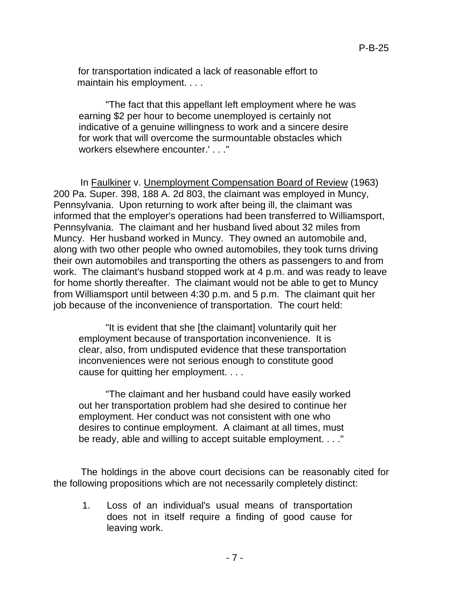for transportation indicated a lack of reasonable effort to maintain his employment. . . .

"The fact that this appellant left employment where he was earning \$2 per hour to become unemployed is certainly not indicative of a genuine willingness to work and a sincere desire for work that will overcome the surmountable obstacles which workers elsewhere encounter.'...

In Faulkiner v. Unemployment Compensation Board of Review (1963) 200 Pa. Super. 398, 188 A. 2d 803, the claimant was employed in Muncy, Pennsylvania. Upon returning to work after being ill, the claimant was informed that the employer's operations had been transferred to Williamsport, Pennsylvania. The claimant and her husband lived about 32 miles from Muncy. Her husband worked in Muncy. They owned an automobile and, along with two other people who owned automobiles, they took turns driving their own automobiles and transporting the others as passengers to and from work. The claimant's husband stopped work at 4 p.m. and was ready to leave for home shortly thereafter. The claimant would not be able to get to Muncy from Williamsport until between 4:30 p.m. and 5 p.m. The claimant quit her job because of the inconvenience of transportation. The court held:

"It is evident that she [the claimant] voluntarily quit her employment because of transportation inconvenience. It is clear, also, from undisputed evidence that these transportation inconveniences were not serious enough to constitute good cause for quitting her employment. . . .

"The claimant and her husband could have easily worked out her transportation problem had she desired to continue her employment. Her conduct was not consistent with one who desires to continue employment. A claimant at all times, must be ready, able and willing to accept suitable employment. . . ."

The holdings in the above court decisions can be reasonably cited for the following propositions which are not necessarily completely distinct:

1. Loss of an individual's usual means of transportation does not in itself require a finding of good cause for leaving work.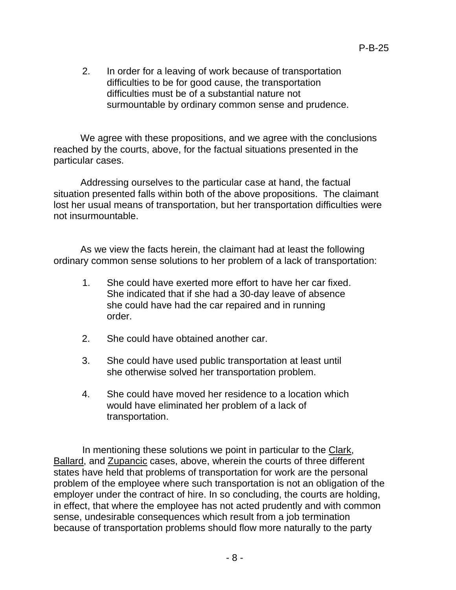2. In order for a leaving of work because of transportation difficulties to be for good cause, the transportation difficulties must be of a substantial nature not surmountable by ordinary common sense and prudence.

We agree with these propositions, and we agree with the conclusions reached by the courts, above, for the factual situations presented in the particular cases.

Addressing ourselves to the particular case at hand, the factual situation presented falls within both of the above propositions. The claimant lost her usual means of transportation, but her transportation difficulties were not insurmountable.

As we view the facts herein, the claimant had at least the following ordinary common sense solutions to her problem of a lack of transportation:

- 1. She could have exerted more effort to have her car fixed. She indicated that if she had a 30-day leave of absence she could have had the car repaired and in running order.
- 2. She could have obtained another car.
- 3. She could have used public transportation at least until she otherwise solved her transportation problem.
- 4. She could have moved her residence to a location which would have eliminated her problem of a lack of transportation.

In mentioning these solutions we point in particular to the Clark, Ballard, and Zupancic cases, above, wherein the courts of three different states have held that problems of transportation for work are the personal problem of the employee where such transportation is not an obligation of the employer under the contract of hire. In so concluding, the courts are holding, in effect, that where the employee has not acted prudently and with common sense, undesirable consequences which result from a job termination because of transportation problems should flow more naturally to the party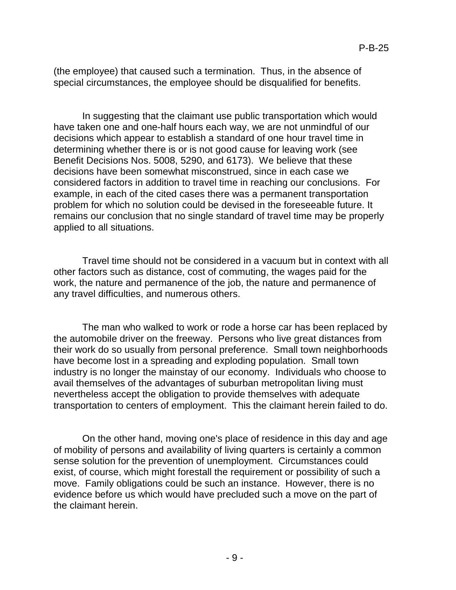(the employee) that caused such a termination. Thus, in the absence of special circumstances, the employee should be disqualified for benefits.

In suggesting that the claimant use public transportation which would have taken one and one-half hours each way, we are not unmindful of our decisions which appear to establish a standard of one hour travel time in determining whether there is or is not good cause for leaving work (see Benefit Decisions Nos. 5008, 5290, and 6173). We believe that these decisions have been somewhat misconstrued, since in each case we considered factors in addition to travel time in reaching our conclusions. For example, in each of the cited cases there was a permanent transportation problem for which no solution could be devised in the foreseeable future. It remains our conclusion that no single standard of travel time may be properly applied to all situations.

Travel time should not be considered in a vacuum but in context with all other factors such as distance, cost of commuting, the wages paid for the work, the nature and permanence of the job, the nature and permanence of any travel difficulties, and numerous others.

The man who walked to work or rode a horse car has been replaced by the automobile driver on the freeway. Persons who live great distances from their work do so usually from personal preference. Small town neighborhoods have become lost in a spreading and exploding population. Small town industry is no longer the mainstay of our economy. Individuals who choose to avail themselves of the advantages of suburban metropolitan living must nevertheless accept the obligation to provide themselves with adequate transportation to centers of employment. This the claimant herein failed to do.

On the other hand, moving one's place of residence in this day and age of mobility of persons and availability of living quarters is certainly a common sense solution for the prevention of unemployment. Circumstances could exist, of course, which might forestall the requirement or possibility of such a move. Family obligations could be such an instance. However, there is no evidence before us which would have precluded such a move on the part of the claimant herein.